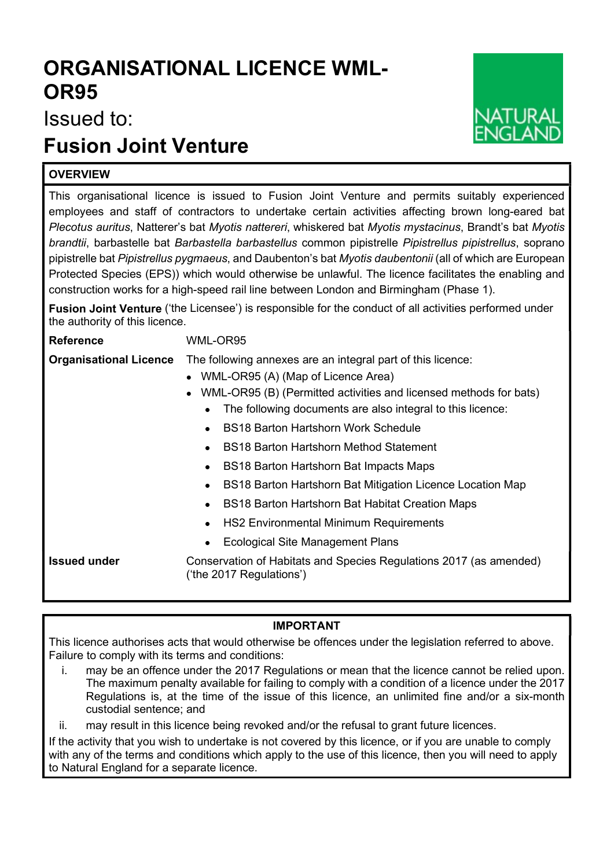## ORGANISATIONAL LICENCE WML-OR95

Issued to:

## Fusion Joint Venture

## **OVERVIEW**

This organisational licence is issued to Fusion Joint Venture and permits suitably experienced employees and staff of contractors to undertake certain activities affecting brown long-eared bat Plecotus auritus, Natterer's bat Myotis nattereri, whiskered bat Myotis mystacinus, Brandt's bat Myotis brandtii, barbastelle bat Barbastella barbastellus common pipistrelle Pipistrellus pipistrellus, soprano pipistrelle bat Pipistrellus pygmaeus, and Daubenton's bat Myotis daubentonii (all of which are European Protected Species (EPS)) which would otherwise be unlawful. The licence facilitates the enabling and construction works for a high-speed rail line between London and Birmingham (Phase 1).

Fusion Joint Venture ('the Licensee') is responsible for the conduct of all activities performed under the authority of this licence.

Reference WML-OR95

Organisational Licence The following annexes are an integral part of this licence:

- WML-OR95 (A) (Map of Licence Area)
- WML-OR95 (B) (Permitted activities and licensed methods for bats)
	- The following documents are also integral to this licence:
	- BS18 Barton Hartshorn Work Schedule
	- BS18 Barton Hartshorn Method Statement
	- BS18 Barton Hartshorn Bat Impacts Maps
	- BS18 Barton Hartshorn Bat Mitigation Licence Location Map
	- BS18 Barton Hartshorn Bat Habitat Creation Maps
	- HS2 Environmental Minimum Requirements
	- Ecological Site Management Plans

Issued under Conservation of Habitats and Species Regulations 2017 (as amended) ('the 2017 Regulations')

## IMPORTANT

This licence authorises acts that would otherwise be offences under the legislation referred to above. Failure to comply with its terms and conditions:

- i. may be an offence under the 2017 Regulations or mean that the licence cannot be relied upon. The maximum penalty available for failing to comply with a condition of a licence under the 2017 Regulations is, at the time of the issue of this licence, an unlimited fine and/or a six-month custodial sentence; and
- ii. may result in this licence being revoked and/or the refusal to grant future licences.

If the activity that you wish to undertake is not covered by this licence, or if you are unable to comply with any of the terms and conditions which apply to the use of this licence, then you will need to apply to Natural England for a separate licence.

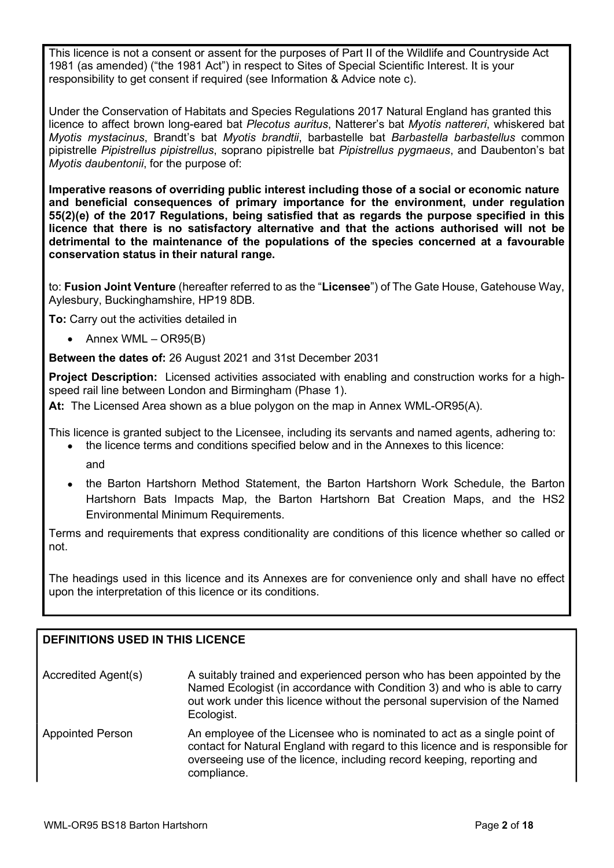This licence is not a consent or assent for the purposes of Part II of the Wildlife and Countryside Act 1981 (as amended) ("the 1981 Act") in respect to Sites of Special Scientific Interest. It is your responsibility to get consent if required (see Information & Advice note c).

Under the Conservation of Habitats and Species Regulations 2017 Natural England has granted this licence to affect brown long-eared bat Plecotus auritus, Natterer's bat Myotis nattereri, whiskered bat Myotis mystacinus, Brandt's bat Myotis brandtii, barbastelle bat Barbastella barbastellus common pipistrelle Pipistrellus pipistrellus, soprano pipistrelle bat Pipistrellus pygmaeus, and Daubenton's bat Myotis daubentonii, for the purpose of:

Imperative reasons of overriding public interest including those of a social or economic nature and beneficial consequences of primary importance for the environment, under regulation 55(2)(e) of the 2017 Regulations, being satisfied that as regards the purpose specified in this licence that there is no satisfactory alternative and that the actions authorised will not be detrimental to the maintenance of the populations of the species concerned at a favourable conservation status in their natural range.

to: Fusion Joint Venture (hereafter referred to as the "Licensee") of The Gate House, Gatehouse Way, Aylesbury, Buckinghamshire, HP19 8DB.

To: Carry out the activities detailed in

 $\bullet$  Annex WML – OR95(B)

Between the dates of: 26 August 2021 and 31st December 2031

Project Description: Licensed activities associated with enabling and construction works for a highspeed rail line between London and Birmingham (Phase 1).

At: The Licensed Area shown as a blue polygon on the map in Annex WML-OR95(A).

This licence is granted subject to the Licensee, including its servants and named agents, adhering to: the licence terms and conditions specified below and in the Annexes to this licence:

- and
- the Barton Hartshorn Method Statement, the Barton Hartshorn Work Schedule, the Barton Hartshorn Bats Impacts Map, the Barton Hartshorn Bat Creation Maps, and the HS2 Environmental Minimum Requirements.

Terms and requirements that express conditionality are conditions of this licence whether so called or not.

The headings used in this licence and its Annexes are for convenience only and shall have no effect upon the interpretation of this licence or its conditions.

## DEFINITIONS USED IN THIS LICENCE

| Accredited Agent(s) | A suitably trained and experienced person who has been appointed by the   |
|---------------------|---------------------------------------------------------------------------|
|                     | Named Ecologist (in accordance with Condition 3) and who is able to carry |
|                     | out work under this licence without the personal supervision of the Named |
|                     | Ecologist.                                                                |

Appointed Person An employee of the Licensee who is nominated to act as a single point of contact for Natural England with regard to this licence and is responsible for overseeing use of the licence, including record keeping, reporting and compliance.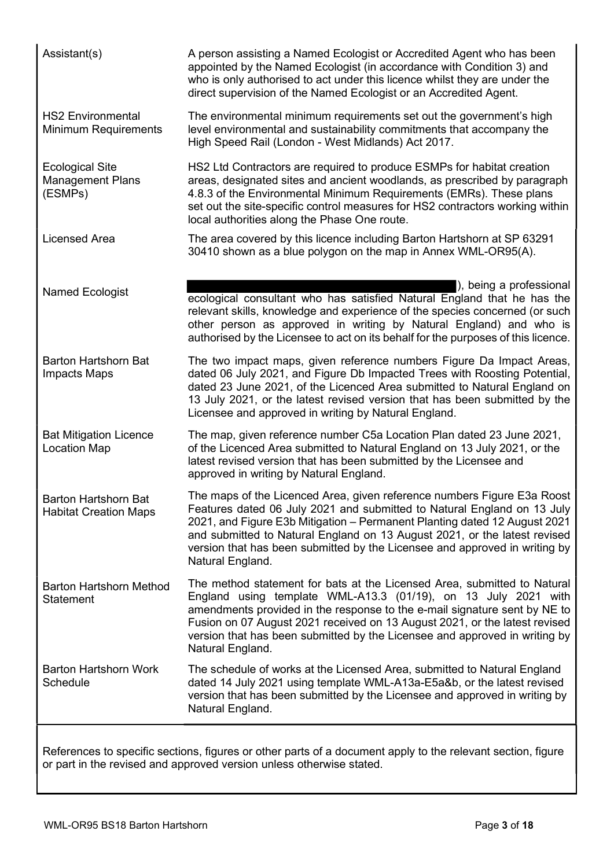| Assistant(s)                                                 | A person assisting a Named Ecologist or Accredited Agent who has been<br>appointed by the Named Ecologist (in accordance with Condition 3) and<br>who is only authorised to act under this licence whilst they are under the<br>direct supervision of the Named Ecologist or an Accredited Agent.                                                                                                              |
|--------------------------------------------------------------|----------------------------------------------------------------------------------------------------------------------------------------------------------------------------------------------------------------------------------------------------------------------------------------------------------------------------------------------------------------------------------------------------------------|
| <b>HS2 Environmental</b><br><b>Minimum Requirements</b>      | The environmental minimum requirements set out the government's high<br>level environmental and sustainability commitments that accompany the<br>High Speed Rail (London - West Midlands) Act 2017.                                                                                                                                                                                                            |
| <b>Ecological Site</b><br><b>Management Plans</b><br>(ESMPs) | HS2 Ltd Contractors are required to produce ESMPs for habitat creation<br>areas, designated sites and ancient woodlands, as prescribed by paragraph<br>4.8.3 of the Environmental Minimum Requirements (EMRs). These plans<br>set out the site-specific control measures for HS2 contractors working within<br>local authorities along the Phase One route.                                                    |
| <b>Licensed Area</b>                                         | The area covered by this licence including Barton Hartshorn at SP 63291<br>30410 shown as a blue polygon on the map in Annex WML-OR95(A).                                                                                                                                                                                                                                                                      |
| <b>Named Ecologist</b>                                       | ), being a professional<br>ecological consultant who has satisfied Natural England that he has the<br>relevant skills, knowledge and experience of the species concerned (or such<br>other person as approved in writing by Natural England) and who is<br>authorised by the Licensee to act on its behalf for the purposes of this licence.                                                                   |
| <b>Barton Hartshorn Bat</b><br><b>Impacts Maps</b>           | The two impact maps, given reference numbers Figure Da Impact Areas,<br>dated 06 July 2021, and Figure Db Impacted Trees with Roosting Potential,<br>dated 23 June 2021, of the Licenced Area submitted to Natural England on<br>13 July 2021, or the latest revised version that has been submitted by the<br>Licensee and approved in writing by Natural England.                                            |
| <b>Bat Mitigation Licence</b><br><b>Location Map</b>         | The map, given reference number C5a Location Plan dated 23 June 2021,<br>of the Licenced Area submitted to Natural England on 13 July 2021, or the<br>latest revised version that has been submitted by the Licensee and<br>approved in writing by Natural England.                                                                                                                                            |
| <b>Barton Hartshorn Bat</b><br><b>Habitat Creation Maps</b>  | The maps of the Licenced Area, given reference numbers Figure E3a Roost<br>Features dated 06 July 2021 and submitted to Natural England on 13 July<br>2021, and Figure E3b Mitigation – Permanent Planting dated 12 August 2021<br>and submitted to Natural England on 13 August 2021, or the latest revised<br>version that has been submitted by the Licensee and approved in writing by<br>Natural England. |
| <b>Barton Hartshorn Method</b><br><b>Statement</b>           | The method statement for bats at the Licensed Area, submitted to Natural<br>England using template WML-A13.3 (01/19), on 13 July 2021 with<br>amendments provided in the response to the e-mail signature sent by NE to<br>Fusion on 07 August 2021 received on 13 August 2021, or the latest revised<br>version that has been submitted by the Licensee and approved in writing by<br>Natural England.        |
| <b>Barton Hartshorn Work</b><br>Schedule                     | The schedule of works at the Licensed Area, submitted to Natural England<br>dated 14 July 2021 using template WML-A13a-E5a&b, or the latest revised<br>version that has been submitted by the Licensee and approved in writing by<br>Natural England.                                                                                                                                                          |

References to specific sections, figures or other parts of a document apply to the relevant section, figure or part in the revised and approved version unless otherwise stated.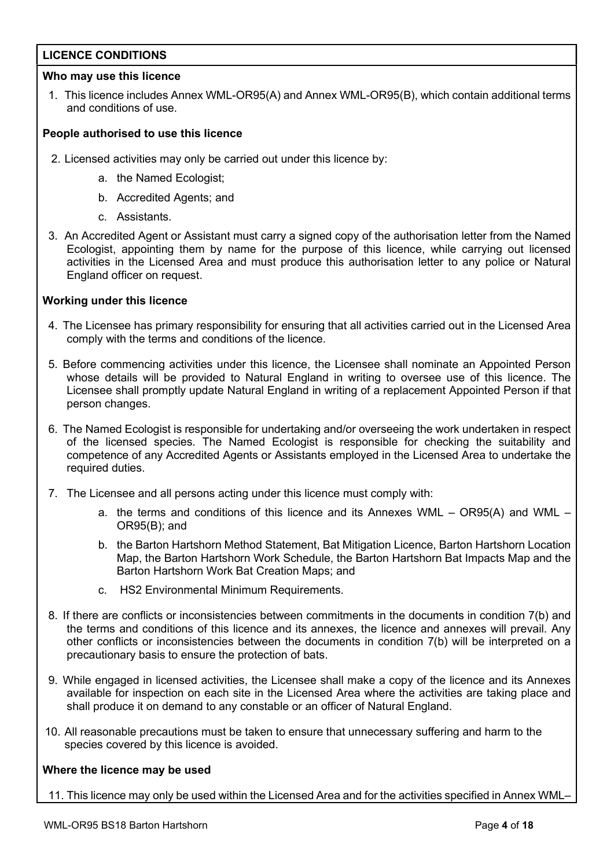## LICENCE CONDITIONS

## Who may use this licence

1. This licence includes Annex WML-OR95(A) and Annex WML-OR95(B), which contain additional terms and conditions of use.

## People authorised to use this licence

- 2. Licensed activities may only be carried out under this licence by:
	- a. the Named Ecologist;
	- b. Accredited Agents; and
	- c. Assistants.
- 3. An Accredited Agent or Assistant must carry a signed copy of the authorisation letter from the Named Ecologist, appointing them by name for the purpose of this licence, while carrying out licensed activities in the Licensed Area and must produce this authorisation letter to any police or Natural England officer on request.

## Working under this licence

- 4. The Licensee has primary responsibility for ensuring that all activities carried out in the Licensed Area comply with the terms and conditions of the licence.
- 5. Before commencing activities under this licence, the Licensee shall nominate an Appointed Person whose details will be provided to Natural England in writing to oversee use of this licence. The Licensee shall promptly update Natural England in writing of a replacement Appointed Person if that person changes.
- 6. The Named Ecologist is responsible for undertaking and/or overseeing the work undertaken in respect of the licensed species. The Named Ecologist is responsible for checking the suitability and competence of any Accredited Agents or Assistants employed in the Licensed Area to undertake the required duties.
- 7. The Licensee and all persons acting under this licence must comply with:
	- a. the terms and conditions of this licence and its Annexes WML OR95(A) and WML OR95(B); and
	- b. the Barton Hartshorn Method Statement, Bat Mitigation Licence, Barton Hartshorn Location Map, the Barton Hartshorn Work Schedule, the Barton Hartshorn Bat Impacts Map and the Barton Hartshorn Work Bat Creation Maps; and
	- c. HS2 Environmental Minimum Requirements.
- 8. If there are conflicts or inconsistencies between commitments in the documents in condition 7(b) and the terms and conditions of this licence and its annexes, the licence and annexes will prevail. Any other conflicts or inconsistencies between the documents in condition 7(b) will be interpreted on a precautionary basis to ensure the protection of bats.
- 9. While engaged in licensed activities, the Licensee shall make a copy of the licence and its Annexes available for inspection on each site in the Licensed Area where the activities are taking place and shall produce it on demand to any constable or an officer of Natural England.
- 10. All reasonable precautions must be taken to ensure that unnecessary suffering and harm to the species covered by this licence is avoided.

### Where the licence may be used

11. This licence may only be used within the Licensed Area and for the activities specified in Annex WML–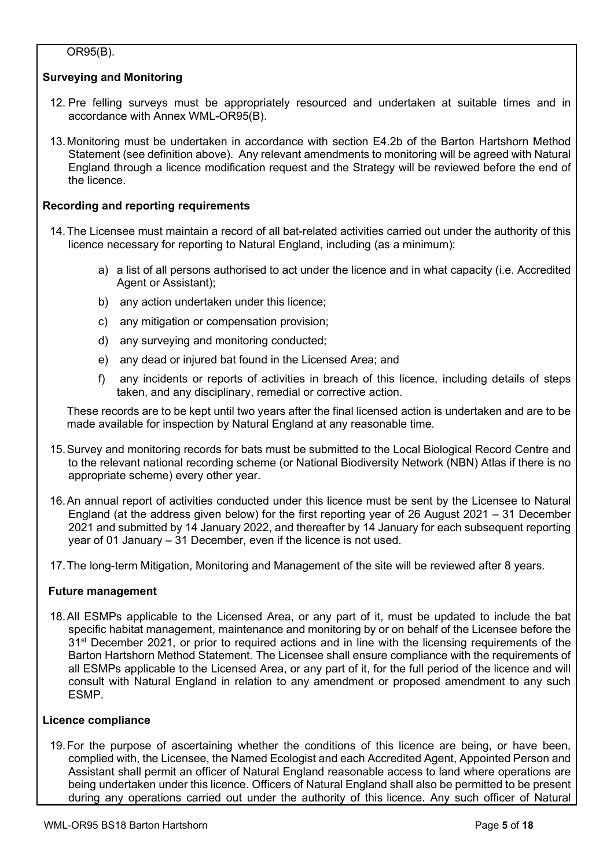## OR95(B).

## Surveying and Monitoring

- 12. Pre felling surveys must be appropriately resourced and undertaken at suitable times and in accordance with Annex WML-OR95(B).
- 13. Monitoring must be undertaken in accordance with section E4.2b of the Barton Hartshorn Method Statement (see definition above). Any relevant amendments to monitoring will be agreed with Natural England through a licence modification request and the Strategy will be reviewed before the end of the licence.

## Recording and reporting requirements

- 14. The Licensee must maintain a record of all bat-related activities carried out under the authority of this licence necessary for reporting to Natural England, including (as a minimum):
	- a) a list of all persons authorised to act under the licence and in what capacity (i.e. Accredited Agent or Assistant);
	- b) any action undertaken under this licence;
	- c) any mitigation or compensation provision;
	- d) any surveying and monitoring conducted;
	- e) any dead or injured bat found in the Licensed Area; and
	- f) any incidents or reports of activities in breach of this licence, including details of steps taken, and any disciplinary, remedial or corrective action.

These records are to be kept until two years after the final licensed action is undertaken and are to be made available for inspection by Natural England at any reasonable time.

- 15. Survey and monitoring records for bats must be submitted to the Local Biological Record Centre and to the relevant national recording scheme (or National Biodiversity Network (NBN) Atlas if there is no appropriate scheme) every other year.
- 16. An annual report of activities conducted under this licence must be sent by the Licensee to Natural England (at the address given below) for the first reporting year of 26 August 2021 – 31 December 2021 and submitted by 14 January 2022, and thereafter by 14 January for each subsequent reporting year of 01 January – 31 December, even if the licence is not used.
- 17. The long-term Mitigation, Monitoring and Management of the site will be reviewed after 8 years.

## Future management

18. All ESMPs applicable to the Licensed Area, or any part of it, must be updated to include the bat specific habitat management, maintenance and monitoring by or on behalf of the Licensee before the 31<sup>st</sup> December 2021, or prior to required actions and in line with the licensing requirements of the Barton Hartshorn Method Statement. The Licensee shall ensure compliance with the requirements of all ESMPs applicable to the Licensed Area, or any part of it, for the full period of the licence and will consult with Natural England in relation to any amendment or proposed amendment to any such ESMP.

## Licence compliance

19. For the purpose of ascertaining whether the conditions of this licence are being, or have been, complied with, the Licensee, the Named Ecologist and each Accredited Agent, Appointed Person and Assistant shall permit an officer of Natural England reasonable access to land where operations are being undertaken under this licence. Officers of Natural England shall also be permitted to be present during any operations carried out under the authority of this licence. Any such officer of Natural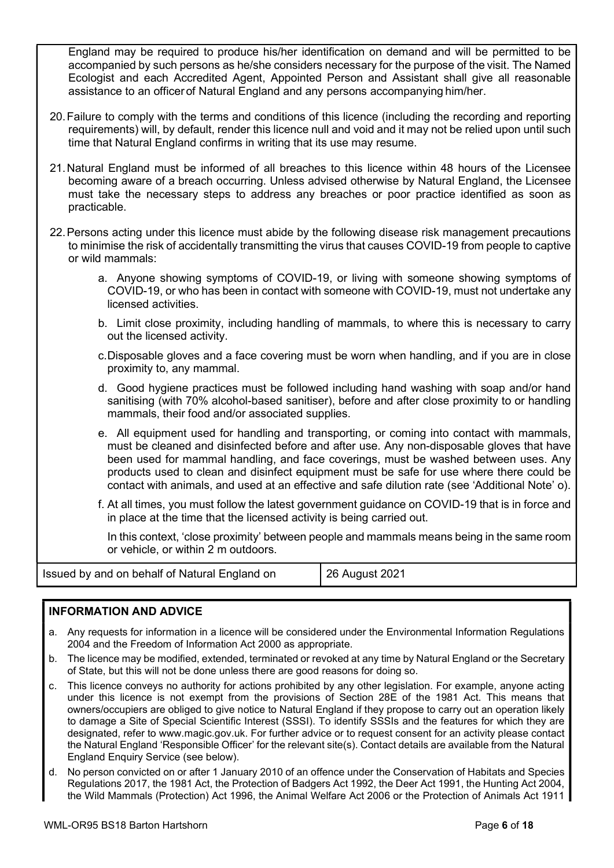England may be required to produce his/her identification on demand and will be permitted to be accompanied by such persons as he/she considers necessary for the purpose of the visit. The Named Ecologist and each Accredited Agent, Appointed Person and Assistant shall give all reasonable assistance to an officer of Natural England and any persons accompanying him/her.

- 20. Failure to comply with the terms and conditions of this licence (including the recording and reporting requirements) will, by default, render this licence null and void and it may not be relied upon until such time that Natural England confirms in writing that its use may resume.
- 21. Natural England must be informed of all breaches to this licence within 48 hours of the Licensee becoming aware of a breach occurring. Unless advised otherwise by Natural England, the Licensee must take the necessary steps to address any breaches or poor practice identified as soon as practicable.
- 22. Persons acting under this licence must abide by the following disease risk management precautions to minimise the risk of accidentally transmitting the virus that causes COVID-19 from people to captive or wild mammals:
	- a. Anyone showing symptoms of COVID-19, or living with someone showing symptoms of COVID-19, or who has been in contact with someone with COVID-19, must not undertake any licensed activities.
	- b. Limit close proximity, including handling of mammals, to where this is necessary to carry out the licensed activity.
	- c. Disposable gloves and a face covering must be worn when handling, and if you are in close proximity to, any mammal.
	- d. Good hygiene practices must be followed including hand washing with soap and/or hand sanitising (with 70% alcohol-based sanitiser), before and after close proximity to or handling mammals, their food and/or associated supplies.
	- e. All equipment used for handling and transporting, or coming into contact with mammals, must be cleaned and disinfected before and after use. Any non-disposable gloves that have been used for mammal handling, and face coverings, must be washed between uses. Any products used to clean and disinfect equipment must be safe for use where there could be contact with animals, and used at an effective and safe dilution rate (see 'Additional Note' o).
	- f. At all times, you must follow the latest government guidance on COVID-19 that is in force and in place at the time that the licensed activity is being carried out.

In this context, 'close proximity' between people and mammals means being in the same room or vehicle, or within 2 m outdoors.

| Issued by and on behalf of Natural England on | 26 August 2021 |
|-----------------------------------------------|----------------|
|-----------------------------------------------|----------------|

## INFORMATION AND ADVICE

- a. Any requests for information in a licence will be considered under the Environmental Information Regulations 2004 and the Freedom of Information Act 2000 as appropriate.
- b. The licence may be modified, extended, terminated or revoked at any time by Natural England or the Secretary of State, but this will not be done unless there are good reasons for doing so.
- c. This licence conveys no authority for actions prohibited by any other legislation. For example, anyone acting under this licence is not exempt from the provisions of Section 28E of the 1981 Act. This means that owners/occupiers are obliged to give notice to Natural England if they propose to carry out an operation likely to damage a Site of Special Scientific Interest (SSSI). To identify SSSIs and the features for which they are designated, refer to www.magic.gov.uk. For further advice or to request consent for an activity please contact the Natural England 'Responsible Officer' for the relevant site(s). Contact details are available from the Natural England Enquiry Service (see below).
- d. No person convicted on or after 1 January 2010 of an offence under the Conservation of Habitats and Species Regulations 2017, the 1981 Act, the Protection of Badgers Act 1992, the Deer Act 1991, the Hunting Act 2004, the Wild Mammals (Protection) Act 1996, the Animal Welfare Act 2006 or the Protection of Animals Act 1911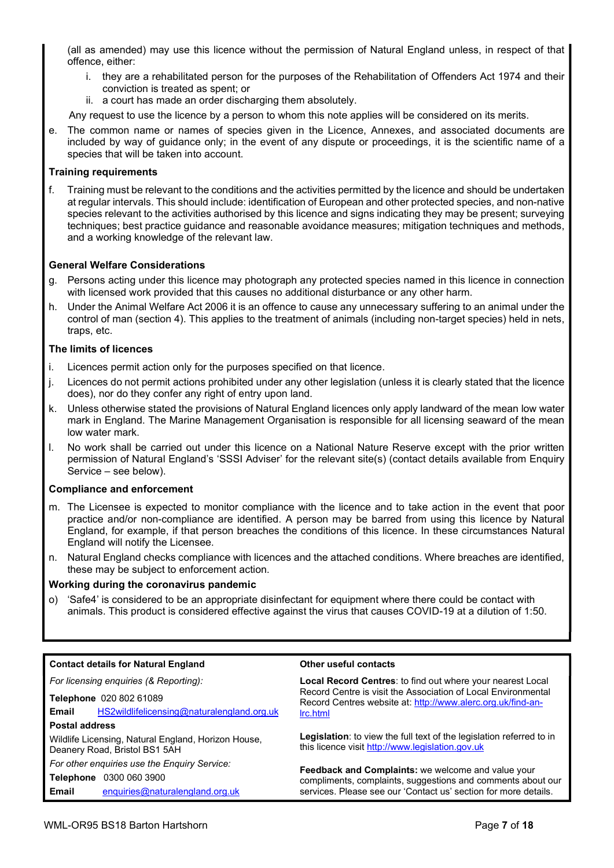(all as amended) may use this licence without the permission of Natural England unless, in respect of that offence, either:

- i. they are a rehabilitated person for the purposes of the Rehabilitation of Offenders Act 1974 and their conviction is treated as spent; or
- ii. a court has made an order discharging them absolutely.

Any request to use the licence by a person to whom this note applies will be considered on its merits.

e. The common name or names of species given in the Licence, Annexes, and associated documents are included by way of guidance only; in the event of any dispute or proceedings, it is the scientific name of a species that will be taken into account.

### Training requirements

f. Training must be relevant to the conditions and the activities permitted by the licence and should be undertaken at regular intervals. This should include: identification of European and other protected species, and non-native species relevant to the activities authorised by this licence and signs indicating they may be present; surveying techniques; best practice guidance and reasonable avoidance measures; mitigation techniques and methods, and a working knowledge of the relevant law.

### General Welfare Considerations

- g. Persons acting under this licence may photograph any protected species named in this licence in connection with licensed work provided that this causes no additional disturbance or any other harm.
- h. Under the Animal Welfare Act 2006 it is an offence to cause any unnecessary suffering to an animal under the control of man (section 4). This applies to the treatment of animals (including non-target species) held in nets, traps, etc.

### The limits of licences

- i. Licences permit action only for the purposes specified on that licence.
- j. Licences do not permit actions prohibited under any other legislation (unless it is clearly stated that the licence does), nor do they confer any right of entry upon land.
- k. Unless otherwise stated the provisions of Natural England licences only apply landward of the mean low water mark in England. The Marine Management Organisation is responsible for all licensing seaward of the mean low water mark.
- l. No work shall be carried out under this licence on a National Nature Reserve except with the prior written permission of Natural England's 'SSSI Adviser' for the relevant site(s) (contact details available from Enquiry Service – see below).

#### Compliance and enforcement

- m. The Licensee is expected to monitor compliance with the licence and to take action in the event that poor practice and/or non-compliance are identified. A person may be barred from using this licence by Natural England, for example, if that person breaches the conditions of this licence. In these circumstances Natural England will notify the Licensee.
- n. Natural England checks compliance with licences and the attached conditions. Where breaches are identified, these may be subject to enforcement action.

#### Working during the coronavirus pandemic

o) 'Safe4' is considered to be an appropriate disinfectant for equipment where there could be contact with animals. This product is considered effective against the virus that causes COVID-19 at a dilution of 1:50.

| <b>Contact details for Natural England</b>                                           | Other useful contacts                                                                                                                                                                      |  |  |  |  |
|--------------------------------------------------------------------------------------|--------------------------------------------------------------------------------------------------------------------------------------------------------------------------------------------|--|--|--|--|
| For licensing enquiries (& Reporting):                                               | Local Record Centres: to find out where your nearest Local<br>Record Centre is visit the Association of Local Environmental<br>Record Centres website at: http://www.alerc.org.uk/find-an- |  |  |  |  |
| Telephone 020 802 61089                                                              |                                                                                                                                                                                            |  |  |  |  |
| HS2wildlifelicensing@naturalengland.org.uk<br>Email                                  | Irc.html                                                                                                                                                                                   |  |  |  |  |
| <b>Postal address</b>                                                                |                                                                                                                                                                                            |  |  |  |  |
| Wildlife Licensing, Natural England, Horizon House,<br>Deanery Road, Bristol BS1 5AH | <b>Legislation:</b> to view the full text of the legislation referred to in<br>this licence visit http://www.legislation.gov.uk                                                            |  |  |  |  |
| For other enquiries use the Enquiry Service:                                         |                                                                                                                                                                                            |  |  |  |  |
| 0300 060 3900<br>Telephone                                                           | Feedback and Complaints: we welcome and value your<br>compliments, complaints, suggestions and comments about our                                                                          |  |  |  |  |
| Email<br>enquiries@naturalengland.org.uk                                             | services. Please see our 'Contact us' section for more details.                                                                                                                            |  |  |  |  |
|                                                                                      |                                                                                                                                                                                            |  |  |  |  |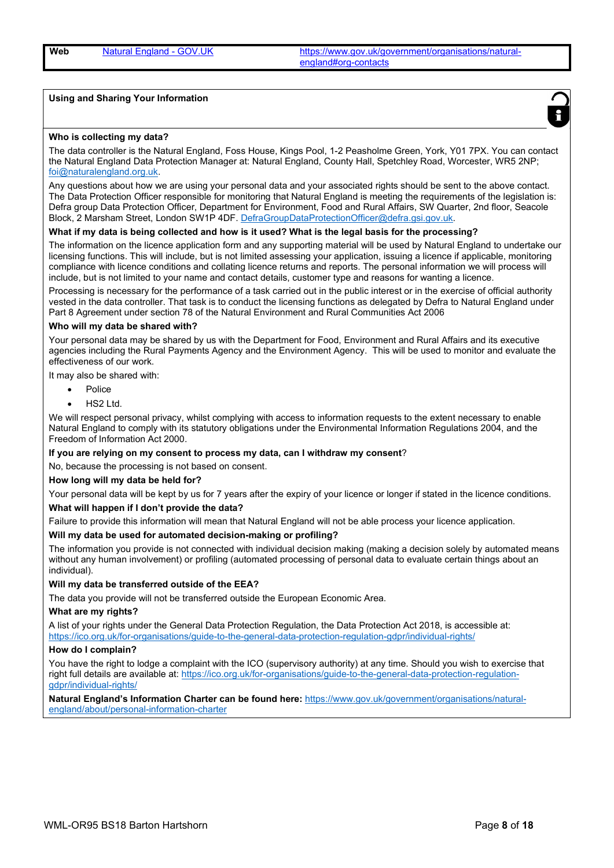Web Natural England - GOV.UK https://www.gov.uk/government/organisations/naturalengland#org-contacts

#### Using and Sharing Your Information



#### Who is collecting my data?

The data controller is the Natural England, Foss House, Kings Pool, 1-2 Peasholme Green, York, Y01 7PX. You can contact the Natural England Data Protection Manager at: Natural England, County Hall, Spetchley Road, Worcester, WR5 2NP; foi@naturalengland.org.uk.

Any questions about how we are using your personal data and your associated rights should be sent to the above contact. The Data Protection Officer responsible for monitoring that Natural England is meeting the requirements of the legislation is: Defra group Data Protection Officer, Department for Environment, Food and Rural Affairs, SW Quarter, 2nd floor, Seacole Block, 2 Marsham Street, London SW1P 4DF. DefraGroupDataProtectionOfficer@defra.gsi.gov.uk.

#### What if my data is being collected and how is it used? What is the legal basis for the processing?

The information on the licence application form and any supporting material will be used by Natural England to undertake our licensing functions. This will include, but is not limited assessing your application, issuing a licence if applicable, monitoring compliance with licence conditions and collating licence returns and reports. The personal information we will process will include, but is not limited to your name and contact details, customer type and reasons for wanting a licence.

Processing is necessary for the performance of a task carried out in the public interest or in the exercise of official authority vested in the data controller. That task is to conduct the licensing functions as delegated by Defra to Natural England under Part 8 Agreement under section 78 of the Natural Environment and Rural Communities Act 2006

#### Who will my data be shared with?

Your personal data may be shared by us with the Department for Food, Environment and Rural Affairs and its executive agencies including the Rural Payments Agency and the Environment Agency. This will be used to monitor and evaluate the effectiveness of our work.

It may also be shared with:

- Police
- HS2 Ltd.

We will respect personal privacy, whilst complying with access to information requests to the extent necessary to enable Natural England to comply with its statutory obligations under the Environmental Information Regulations 2004, and the Freedom of Information Act 2000.

If you are relying on my consent to process my data, can I withdraw my consent?

No, because the processing is not based on consent.

#### How long will my data be held for?

Your personal data will be kept by us for 7 years after the expiry of your licence or longer if stated in the licence conditions.

#### What will happen if I don't provide the data?

Failure to provide this information will mean that Natural England will not be able process your licence application.

#### Will my data be used for automated decision-making or profiling?

The information you provide is not connected with individual decision making (making a decision solely by automated means without any human involvement) or profiling (automated processing of personal data to evaluate certain things about an individual).

#### Will my data be transferred outside of the EEA?

The data you provide will not be transferred outside the European Economic Area.

#### What are my rights?

A list of your rights under the General Data Protection Regulation, the Data Protection Act 2018, is accessible at: https://ico.org.uk/for-organisations/guide-to-the-general-data-protection-regulation-gdpr/individual-rights/

#### How do I complain?

You have the right to lodge a complaint with the ICO (supervisory authority) at any time. Should you wish to exercise that right full details are available at: https://ico.org.uk/for-organisations/guide-to-the-general-data-protection-regulationgdpr/individual-rights/

Natural England's Information Charter can be found here: https://www.gov.uk/government/organisations/naturalengland/about/personal-information-charter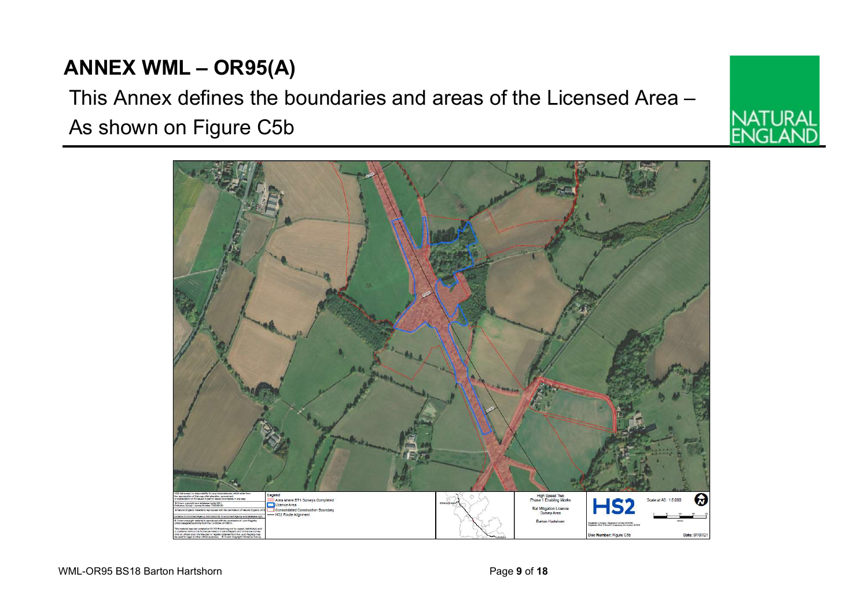egend<br>Area where BT1 Surveys Completed

HS2 Route Alignment

onsolidated Construction Boundary

Licence Area



# This Annex defines the boundaries and areas of the Licensed Area – As shown on Figure C5b

High Speed Two<br>Phase 1 Enabling Worl

**Rat Mitigation Licen** 

er Finire C

Date: 07/07/2

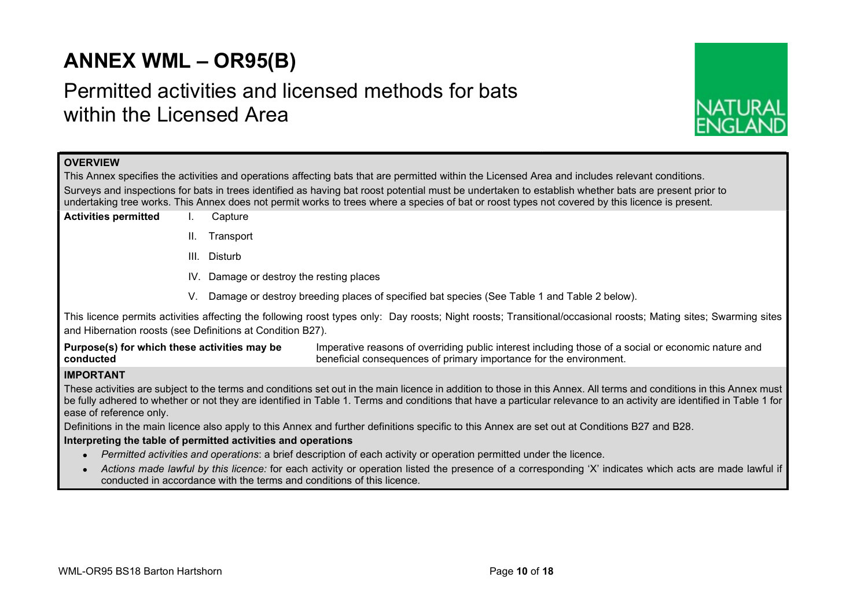## ANNEX WML – OR95(B)

## Permitted activities and licensed methods for bats within the Licensed Area



## **OVERVIEW**

This Annex specifies the activities and operations affecting bats that are permitted within the Licensed Area and includes relevant conditions. Surveys and inspections for bats in trees identified as having bat roost potential must be undertaken to establish whether bats are present prior to undertaking tree works. This Annex does not permit works to trees where a species of bat or roost types not covered by this licence is present.

- Activities permitted I. Capture
	- II. Transport
	- III. Disturb
	- IV. Damage or destroy the resting places
	- V. Damage or destroy breeding places of specified bat species (See Table 1 and Table 2 below).

This licence permits activities affecting the following roost types only: Day roosts; Night roosts; Transitional/occasional roosts; Mating sites; Swarming sites and Hibernation roosts (see Definitions at Condition B27).

Purpose(s) for which these activities may be conducted Imperative reasons of overriding public interest including those of a social or economic nature and beneficial consequences of primary importance for the environment.

## IMPORTANT

These activities are subject to the terms and conditions set out in the main licence in addition to those in this Annex. All terms and conditions in this Annex must be fully adhered to whether or not they are identified in Table 1. Terms and conditions that have a particular relevance to an activity are identified in Table 1 for ease of reference only.

Definitions in the main licence also apply to this Annex and further definitions specific to this Annex are set out at Conditions B27 and B28.

## Interpreting the table of permitted activities and operations

- Permitted activities and operations: a brief description of each activity or operation permitted under the licence.
- Actions made lawful by this licence: for each activity or operation listed the presence of a corresponding 'X' indicates which acts are made lawful if conducted in accordance with the terms and conditions of this licence.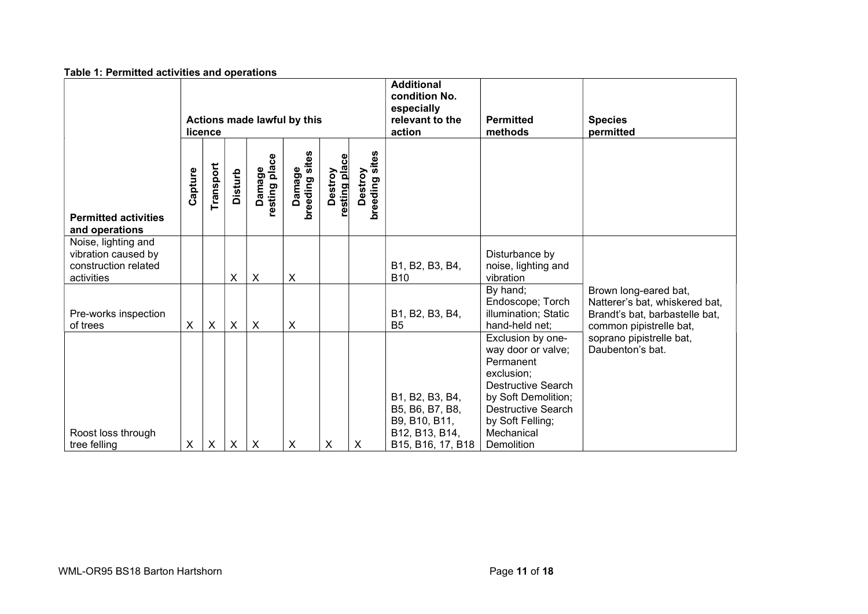|                                                                                  | Table 1: Permitted activities and operations |                  |                           |                           |                           |                          |                           |                                                                                            |                                                                                                                                                                                              |                                                                                                                      |
|----------------------------------------------------------------------------------|----------------------------------------------|------------------|---------------------------|---------------------------|---------------------------|--------------------------|---------------------------|--------------------------------------------------------------------------------------------|----------------------------------------------------------------------------------------------------------------------------------------------------------------------------------------------|----------------------------------------------------------------------------------------------------------------------|
|                                                                                  | Actions made lawful by this<br>licence       |                  |                           |                           |                           |                          |                           | <b>Additional</b><br>condition No.<br>especially<br>relevant to the<br>action              | <b>Permitted</b><br>methods                                                                                                                                                                  | <b>Species</b><br>permitted                                                                                          |
| <b>Permitted activities</b><br>and operations                                    | Capture                                      | Transport        | <b>Disturb</b>            | Damage<br>resting place   | breeding sites<br>Damage  | Destroy<br>resting place | Destroy<br>breeding sites |                                                                                            |                                                                                                                                                                                              |                                                                                                                      |
| Noise, lighting and<br>vibration caused by<br>construction related<br>activities |                                              |                  | $\boldsymbol{\mathsf{X}}$ | $\boldsymbol{\mathsf{X}}$ | X                         |                          |                           | B1, B2, B3, B4,<br><b>B10</b>                                                              | Disturbance by<br>noise, lighting and<br>vibration                                                                                                                                           |                                                                                                                      |
| Pre-works inspection<br>of trees                                                 | X                                            | $\boldsymbol{X}$ | $\mathsf{X}$              | $\boldsymbol{\mathsf{X}}$ | $\boldsymbol{\mathsf{X}}$ |                          |                           | B1, B2, B3, B4,<br>B <sub>5</sub>                                                          | By hand;<br>Endoscope; Torch<br>illumination; Static<br>hand-held net;                                                                                                                       | Brown long-eared bat,<br>Natterer's bat, whiskered bat,<br>Brandt's bat, barbastelle bat,<br>common pipistrelle bat, |
| Roost loss through<br>tree felling                                               | $\pmb{\times}$                               | X                | $\boldsymbol{\mathsf{X}}$ | $\boldsymbol{\mathsf{X}}$ | X                         | X                        | X                         | B1, B2, B3, B4,<br>B5, B6, B7, B8,<br>B9, B10, B11,<br>B12, B13, B14,<br>B15, B16, 17, B18 | Exclusion by one-<br>way door or valve;<br>Permanent<br>exclusion;<br>Destructive Search<br>by Soft Demolition;<br><b>Destructive Search</b><br>by Soft Felling;<br>Mechanical<br>Demolition | soprano pipistrelle bat,<br>Daubenton's bat.                                                                         |

### Table 1: Permitted activities and operations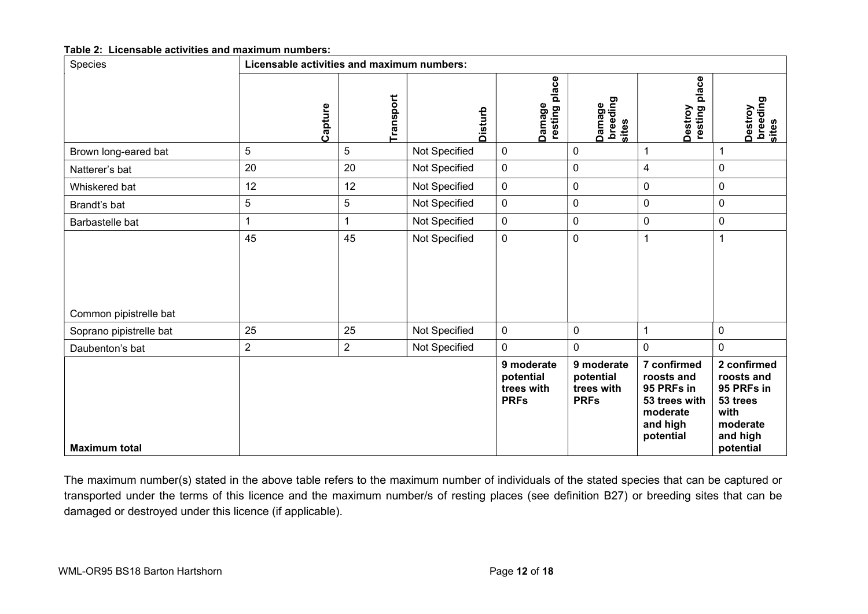## Table 2: Licensable activities and maximum numbers:

| Species                 |                  | Licensable activities and maximum numbers: |                |                                                      |                                                      |                                                                                               |                                                                                                  |  |  |  |  |  |  |
|-------------------------|------------------|--------------------------------------------|----------------|------------------------------------------------------|------------------------------------------------------|-----------------------------------------------------------------------------------------------|--------------------------------------------------------------------------------------------------|--|--|--|--|--|--|
|                         | Capture          | Transport                                  | <b>Disturb</b> | place<br>Damage<br>  resting l                       | Damage<br>breeding<br>sites                          | place<br>Destroy<br>resting                                                                   | Destroy<br>breeding<br>sites                                                                     |  |  |  |  |  |  |
| Brown long-eared bat    | $5\phantom{.0}$  | 5                                          | Not Specified  | $\mathsf 0$                                          | $\pmb{0}$                                            |                                                                                               |                                                                                                  |  |  |  |  |  |  |
| Natterer's bat          | 20               | 20                                         | Not Specified  | $\pmb{0}$                                            | $\pmb{0}$                                            | 4                                                                                             | $\mathbf 0$                                                                                      |  |  |  |  |  |  |
| Whiskered bat           | 12               | 12                                         | Not Specified  | $\pmb{0}$                                            | $\pmb{0}$                                            | $\pmb{0}$                                                                                     | $\pmb{0}$                                                                                        |  |  |  |  |  |  |
| Brandt's bat            | $\overline{5}$   | $\mathbf 5$                                | Not Specified  | $\mathbf 0$                                          | $\pmb{0}$                                            | $\mathbf 0$                                                                                   | $\pmb{0}$                                                                                        |  |  |  |  |  |  |
| Barbastelle bat         | 1                |                                            | Not Specified  | $\pmb{0}$                                            | $\pmb{0}$                                            | $\pmb{0}$                                                                                     | $\mathbf 0$                                                                                      |  |  |  |  |  |  |
| Common pipistrelle bat  | 45               | 45                                         | Not Specified  | $\pmb{0}$                                            | $\pmb{0}$                                            |                                                                                               |                                                                                                  |  |  |  |  |  |  |
| Soprano pipistrelle bat | 25               | 25                                         | Not Specified  | $\mathbf 0$                                          | $\mathbf 0$                                          | $\overline{1}$                                                                                | $\pmb{0}$                                                                                        |  |  |  |  |  |  |
| Daubenton's bat         | $\boldsymbol{2}$ | $\boldsymbol{2}$                           | Not Specified  | $\pmb{0}$                                            | $\mathbf 0$                                          | $\mathbf 0$                                                                                   | $\mathbf 0$                                                                                      |  |  |  |  |  |  |
| <b>Maximum total</b>    |                  |                                            |                | 9 moderate<br>potential<br>trees with<br><b>PRFs</b> | 9 moderate<br>potential<br>trees with<br><b>PRFs</b> | 7 confirmed<br>roosts and<br>95 PRFs in<br>53 trees with<br>moderate<br>and high<br>potential | 2 confirmed<br>roosts and<br>95 PRFs in<br>53 trees<br>with<br>moderate<br>and high<br>potential |  |  |  |  |  |  |

The maximum number(s) stated in the above table refers to the maximum number of individuals of the stated species that can be captured or transported under the terms of this licence and the maximum number/s of resting places (see definition B27) or breeding sites that can be damaged or destroyed under this licence (if applicable).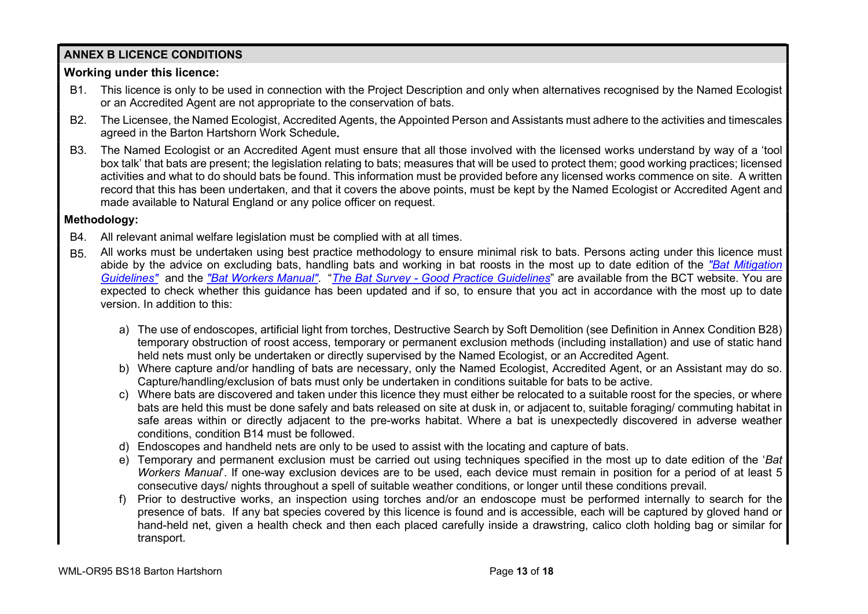## ANNEX B LICENCE CONDITIONS

## Working under this licence:

- B1. This licence is only to be used in connection with the Project Description and only when alternatives recognised by the Named Ecologist or an Accredited Agent are not appropriate to the conservation of bats.
- B2. The Licensee, the Named Ecologist, Accredited Agents, the Appointed Person and Assistants must adhere to the activities and timescales agreed in the Barton Hartshorn Work Schedule.
- B3. The Named Ecologist or an Accredited Agent must ensure that all those involved with the licensed works understand by way of a 'tool box talk' that bats are present; the legislation relating to bats; measures that will be used to protect them; good working practices; licensed activities and what to do should bats be found. This information must be provided before any licensed works commence on site. A written record that this has been undertaken, and that it covers the above points, must be kept by the Named Ecologist or Accredited Agent and made available to Natural England or any police officer on request.

## Methodology:

- B4. All relevant animal welfare legislation must be complied with at all times.
- B5. All works must be undertaken using best practice methodology to ensure minimal risk to bats. Persons acting under this licence must abide by the advice on excluding bats, handling bats and working in bat roosts in the most up to date edition of the "Bat Mitigation Guidelines" and the "Bat Workers Manual". "The Bat Survey - Good Practice Guidelines" are available from the BCT website. You are expected to check whether this guidance has been updated and if so, to ensure that you act in accordance with the most up to date version. In addition to this:
	- a) The use of endoscopes, artificial light from torches, Destructive Search by Soft Demolition (see Definition in Annex Condition B28) temporary obstruction of roost access, temporary or permanent exclusion methods (including installation) and use of static hand held nets must only be undertaken or directly supervised by the Named Ecologist, or an Accredited Agent.
	- b) Where capture and/or handling of bats are necessary, only the Named Ecologist, Accredited Agent, or an Assistant may do so. Capture/handling/exclusion of bats must only be undertaken in conditions suitable for bats to be active.
	- c) Where bats are discovered and taken under this licence they must either be relocated to a suitable roost for the species, or where bats are held this must be done safely and bats released on site at dusk in, or adjacent to, suitable foraging/ commuting habitat in safe areas within or directly adjacent to the pre-works habitat. Where a bat is unexpectedly discovered in adverse weather conditions, condition B14 must be followed.
	- d) Endoscopes and handheld nets are only to be used to assist with the locating and capture of bats.
	- e) Temporary and permanent exclusion must be carried out using techniques specified in the most up to date edition of the 'Bat Workers Manual'. If one-way exclusion devices are to be used, each device must remain in position for a period of at least 5 consecutive days/ nights throughout a spell of suitable weather conditions, or longer until these conditions prevail.
	- f) Prior to destructive works, an inspection using torches and/or an endoscope must be performed internally to search for the presence of bats. If any bat species covered by this licence is found and is accessible, each will be captured by gloved hand or hand-held net, given a health check and then each placed carefully inside a drawstring, calico cloth holding bag or similar for transport.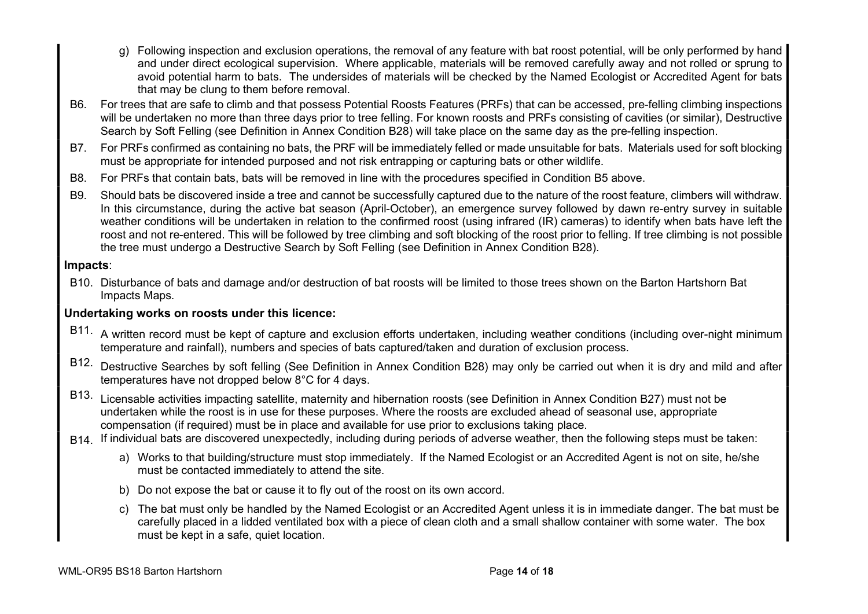- g) Following inspection and exclusion operations, the removal of any feature with bat roost potential, will be only performed by hand and under direct ecological supervision. Where applicable, materials will be removed carefully away and not rolled or sprung to avoid potential harm to bats. The undersides of materials will be checked by the Named Ecologist or Accredited Agent for bats that may be clung to them before removal.
- B6. For trees that are safe to climb and that possess Potential Roosts Features (PRFs) that can be accessed, pre-felling climbing inspections will be undertaken no more than three days prior to tree felling. For known roosts and PRFs consisting of cavities (or similar). Destructive Search by Soft Felling (see Definition in Annex Condition B28) will take place on the same day as the pre-felling inspection.
- B7. For PRFs confirmed as containing no bats, the PRF will be immediately felled or made unsuitable for bats. Materials used for soft blocking must be appropriate for intended purposed and not risk entrapping or capturing bats or other wildlife.
- B8. For PRFs that contain bats, bats will be removed in line with the procedures specified in Condition B5 above.
- B9. Should bats be discovered inside a tree and cannot be successfully captured due to the nature of the roost feature, climbers will withdraw. In this circumstance, during the active bat season (April-October), an emergence survey followed by dawn re-entry survey in suitable weather conditions will be undertaken in relation to the confirmed roost (using infrared (IR) cameras) to identify when bats have left the roost and not re-entered. This will be followed by tree climbing and soft blocking of the roost prior to felling. If tree climbing is not possible the tree must undergo a Destructive Search by Soft Felling (see Definition in Annex Condition B28).

## Impacts:

B10. Disturbance of bats and damage and/or destruction of bat roosts will be limited to those trees shown on the Barton Hartshorn Bat Impacts Maps.

## Undertaking works on roosts under this licence:

- B11. A written record must be kept of capture and exclusion efforts undertaken, including weather conditions (including over-night minimum temperature and rainfall), numbers and species of bats captured/taken and duration of exclusion process.
- B12. Destructive Searches by soft felling (See Definition in Annex Condition B28) may only be carried out when it is dry and mild and after temperatures have not dropped below 8°C for 4 days.
- B13. Licensable activities impacting satellite, maternity and hibernation roosts (see Definition in Annex Condition B27) must not be undertaken while the roost is in use for these purposes. Where the roosts are excluded ahead of seasonal use, appropriate compensation (if required) must be in place and available for use prior to exclusions taking place.
- B14. If individual bats are discovered unexpectedly, including during periods of adverse weather, then the following steps must be taken:
	- a) Works to that building/structure must stop immediately. If the Named Ecologist or an Accredited Agent is not on site, he/she must be contacted immediately to attend the site.
	- b) Do not expose the bat or cause it to fly out of the roost on its own accord.
	- c) The bat must only be handled by the Named Ecologist or an Accredited Agent unless it is in immediate danger. The bat must be carefully placed in a lidded ventilated box with a piece of clean cloth and a small shallow container with some water. The box must be kept in a safe, quiet location.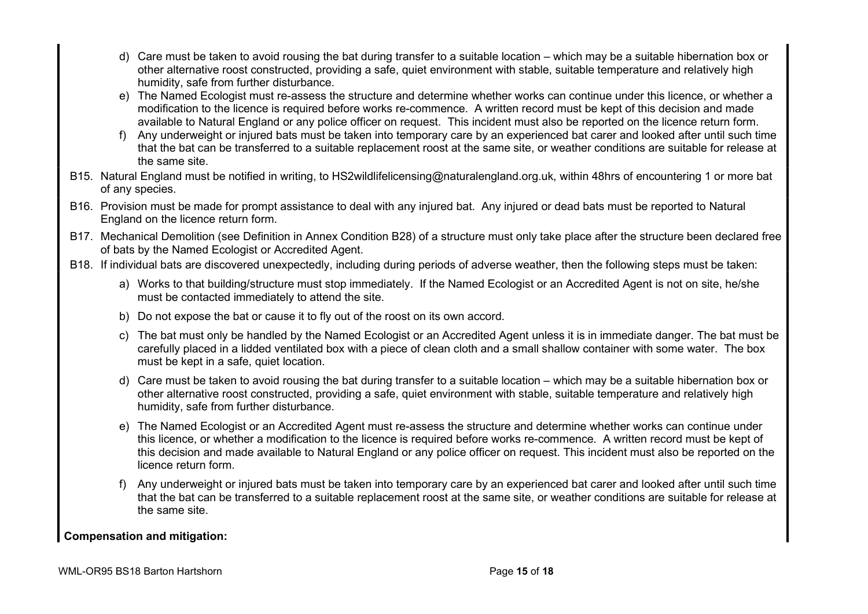- d) Care must be taken to avoid rousing the bat during transfer to a suitable location which may be a suitable hibernation box or other alternative roost constructed, providing a safe, quiet environment with stable, suitable temperature and relatively high humidity, safe from further disturbance.
- e) The Named Ecologist must re-assess the structure and determine whether works can continue under this licence, or whether a modification to the licence is required before works re-commence. A written record must be kept of this decision and made available to Natural England or any police officer on request. This incident must also be reported on the licence return form.
- f) Any underweight or injured bats must be taken into temporary care by an experienced bat carer and looked after until such time that the bat can be transferred to a suitable replacement roost at the same site, or weather conditions are suitable for release at the same site.
- B15. Natural England must be notified in writing, to HS2wildlifelicensing@naturalengland.org.uk, within 48hrs of encountering 1 or more bat of any species.
- B16. Provision must be made for prompt assistance to deal with any injured bat. Any injured or dead bats must be reported to Natural England on the licence return form.
- B17. Mechanical Demolition (see Definition in Annex Condition B28) of a structure must only take place after the structure been declared free of bats by the Named Ecologist or Accredited Agent.
- B18. If individual bats are discovered unexpectedly, including during periods of adverse weather, then the following steps must be taken:
	- a) Works to that building/structure must stop immediately. If the Named Ecologist or an Accredited Agent is not on site, he/she must be contacted immediately to attend the site.
	- b) Do not expose the bat or cause it to fly out of the roost on its own accord.
	- c) The bat must only be handled by the Named Ecologist or an Accredited Agent unless it is in immediate danger. The bat must be carefully placed in a lidded ventilated box with a piece of clean cloth and a small shallow container with some water. The box must be kept in a safe, quiet location.
	- d) Care must be taken to avoid rousing the bat during transfer to a suitable location which may be a suitable hibernation box or other alternative roost constructed, providing a safe, quiet environment with stable, suitable temperature and relatively high humidity, safe from further disturbance.
	- e) The Named Ecologist or an Accredited Agent must re-assess the structure and determine whether works can continue under this licence, or whether a modification to the licence is required before works re-commence. A written record must be kept of this decision and made available to Natural England or any police officer on request. This incident must also be reported on the licence return form.
	- f) Any underweight or injured bats must be taken into temporary care by an experienced bat carer and looked after until such time that the bat can be transferred to a suitable replacement roost at the same site, or weather conditions are suitable for release at the same site.

## Compensation and mitigation: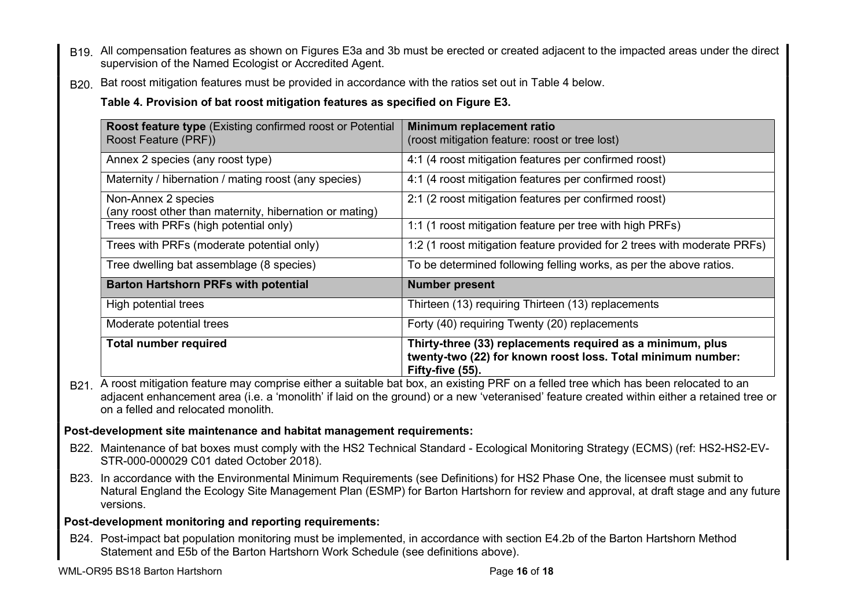- B19. All compensation features as shown on Figures E3a and 3b must be erected or created adjacent to the impacted areas under the direct supervision of the Named Ecologist or Accredited Agent.
- B20. Bat roost mitigation features must be provided in accordance with the ratios set out in Table 4 below.

Table 4. Provision of bat roost mitigation features as specified on Figure E3.

| <b>Roost feature type (Existing confirmed roost or Potential</b><br>Roost Feature (PRF)) | Minimum replacement ratio<br>(roost mitigation feature: roost or tree lost)                                                                   |
|------------------------------------------------------------------------------------------|-----------------------------------------------------------------------------------------------------------------------------------------------|
| Annex 2 species (any roost type)                                                         | 4:1 (4 roost mitigation features per confirmed roost)                                                                                         |
| Maternity / hibernation / mating roost (any species)                                     | 4:1 (4 roost mitigation features per confirmed roost)                                                                                         |
| Non-Annex 2 species<br>(any roost other than maternity, hibernation or mating)           | 2:1 (2 roost mitigation features per confirmed roost)                                                                                         |
| Trees with PRFs (high potential only)                                                    | 1:1 (1 roost mitigation feature per tree with high PRFs)                                                                                      |
| Trees with PRFs (moderate potential only)                                                | 1:2 (1 roost mitigation feature provided for 2 trees with moderate PRFs)                                                                      |
| Tree dwelling bat assemblage (8 species)                                                 | To be determined following felling works, as per the above ratios.                                                                            |
| <b>Barton Hartshorn PRFs with potential</b>                                              | <b>Number present</b>                                                                                                                         |
| High potential trees                                                                     | Thirteen (13) requiring Thirteen (13) replacements                                                                                            |
| Moderate potential trees                                                                 | Forty (40) requiring Twenty (20) replacements                                                                                                 |
| <b>Total number required</b>                                                             | Thirty-three (33) replacements required as a minimum, plus<br>twenty-two (22) for known roost loss. Total minimum number:<br>Fifty-five (55). |

B<sub>21</sub>. A roost mitigation feature may comprise either a suitable bat box, an existing PRF on a felled tree which has been relocated to an adjacent enhancement area (i.e. a 'monolith' if laid on the ground) or a new 'veteranised' feature created within either a retained tree or on a felled and relocated monolith.

## Post-development site maintenance and habitat management requirements:

- B22. Maintenance of bat boxes must comply with the HS2 Technical Standard Ecological Monitoring Strategy (ECMS) (ref: HS2-HS2-EV-STR-000-000029 C01 dated October 2018).
- B23. In accordance with the Environmental Minimum Requirements (see Definitions) for HS2 Phase One, the licensee must submit to Natural England the Ecology Site Management Plan (ESMP) for Barton Hartshorn for review and approval, at draft stage and any future versions.

## Post-development monitoring and reporting requirements:

B24. Post-impact bat population monitoring must be implemented, in accordance with section E4.2b of the Barton Hartshorn Method Statement and E5b of the Barton Hartshorn Work Schedule (see definitions above).

WML-OR95 BS18 Barton Hartshorn **Page 16 of 18** and 20 and 20 and 20 and 20 and 20 and 20 and 20 and 20 and 20 and 20 and 20 and 20 and 20 and 20 and 20 and 20 and 20 and 20 and 20 and 20 and 20 and 20 and 20 and 20 and 20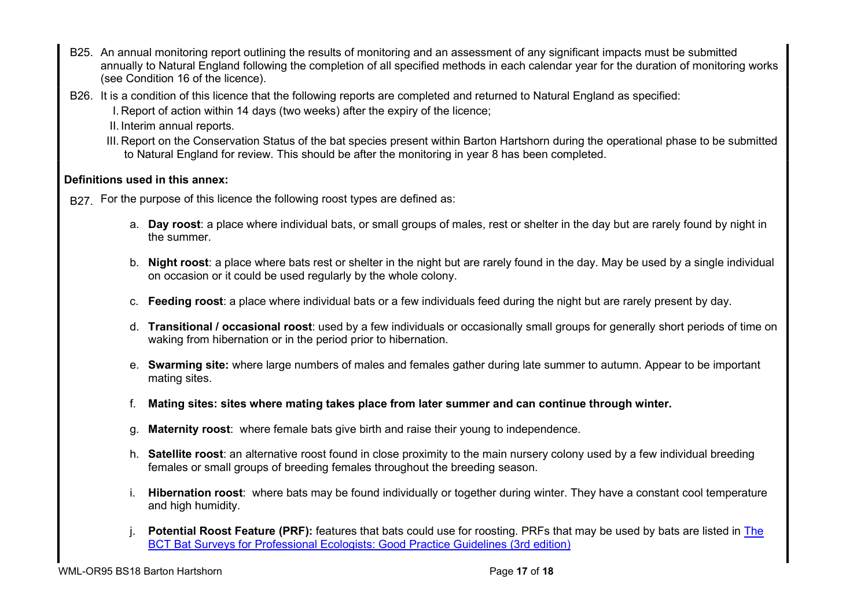- B25. An annual monitoring report outlining the results of monitoring and an assessment of any significant impacts must be submitted annually to Natural England following the completion of all specified methods in each calendar year for the duration of monitoring works (see Condition 16 of the licence).
- B26. It is a condition of this licence that the following reports are completed and returned to Natural England as specified:
	- I. Report of action within 14 days (two weeks) after the expiry of the licence;
	- II. Interim annual reports.
	- III. Report on the Conservation Status of the bat species present within Barton Hartshorn during the operational phase to be submitted to Natural England for review. This should be after the monitoring in year 8 has been completed.

## Definitions used in this annex:

B<sub>27</sub>. For the purpose of this licence the following roost types are defined as:

- a. Day roost: a place where individual bats, or small groups of males, rest or shelter in the day but are rarely found by night in the summer.
- b. Night roost: a place where bats rest or shelter in the night but are rarely found in the day. May be used by a single individual on occasion or it could be used regularly by the whole colony.
- c. Feeding roost: a place where individual bats or a few individuals feed during the night but are rarely present by day.
- d. Transitional / occasional roost: used by a few individuals or occasionally small groups for generally short periods of time on waking from hibernation or in the period prior to hibernation.
- e. Swarming site: where large numbers of males and females gather during late summer to autumn. Appear to be important mating sites.
- f. Mating sites: sites where mating takes place from later summer and can continue through winter.
- g. Maternity roost: where female bats give birth and raise their young to independence.
- h. Satellite roost: an alternative roost found in close proximity to the main nursery colony used by a few individual breeding females or small groups of breeding females throughout the breeding season.
- i. Hibernation roost: where bats may be found individually or together during winter. They have a constant cool temperature and high humidity.
- Potential Roost Feature (PRF): features that bats could use for roosting. PRFs that may be used by bats are listed in The BCT Bat Surveys for Professional Ecologists: Good Practice Guidelines (3rd edition)